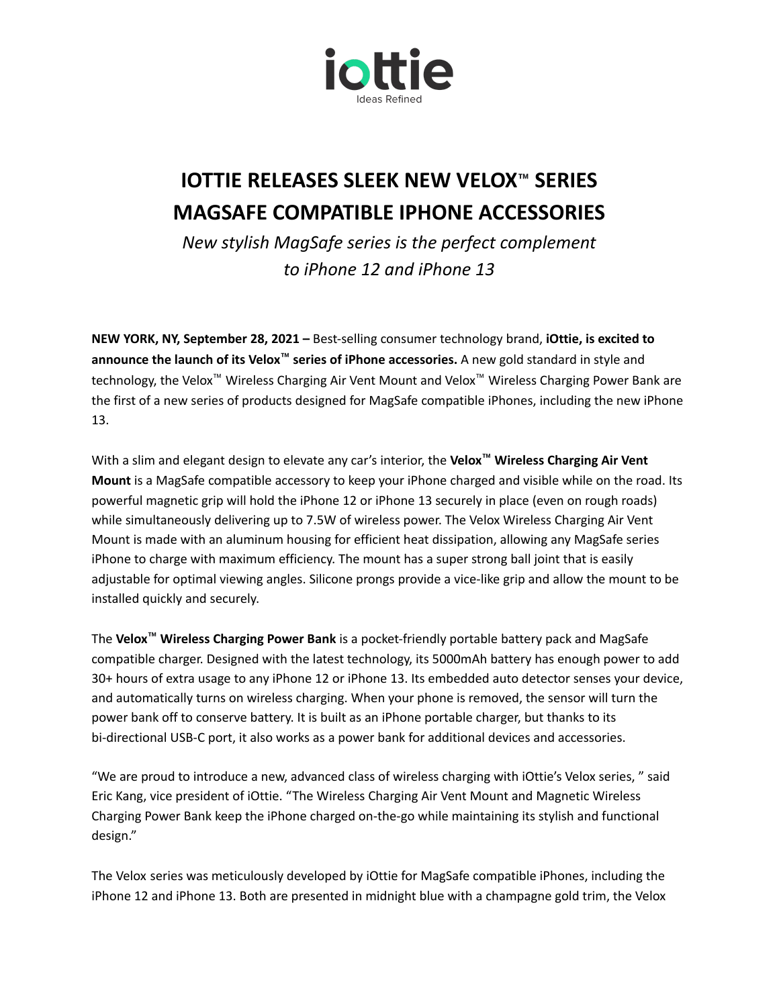

## **IOTTIE RELEASES SLEEK NEW VELOX™ SERIES MAGSAFE COMPATIBLE IPHONE ACCESSORIES**

*New stylish MagSafe series is the perfect complement to iPhone 12 and iPhone 13*

**NEW YORK, NY, September 28, 2021 –** Best-selling consumer technology brand, **iOttie, is excited to announce the launch of its Velox™ series of iPhone accessories.** A new gold standard in style and technology, the Velox™ Wireless Charging Air Vent Mount and Velox™ Wireless Charging Power Bank are the first of a new series of products designed for MagSafe compatible iPhones, including the new iPhone 13.

With a slim and elegant design to elevate any car's interior, the **Velox™ Wireless Charging Air Vent Mount** is a MagSafe compatible accessory to keep your iPhone charged and visible while on the road. Its powerful magnetic grip will hold the iPhone 12 or iPhone 13 securely in place (even on rough roads) while simultaneously delivering up to 7.5W of wireless power. The Velox Wireless Charging Air Vent Mount is made with an aluminum housing for efficient heat dissipation, allowing any MagSafe series iPhone to charge with maximum efficiency. The mount has a super strong ball joint that is easily adjustable for optimal viewing angles. Silicone prongs provide a vice-like grip and allow the mount to be installed quickly and securely.

The **Velox™ Wireless Charging Power Bank** is a pocket-friendly portable battery pack and MagSafe compatible charger. Designed with the latest technology, its 5000mAh battery has enough power to add 30+ hours of extra usage to any iPhone 12 or iPhone 13. Its embedded auto detector senses your device, and automatically turns on wireless charging. When your phone is removed, the sensor will turn the power bank off to conserve battery. It is built as an iPhone portable charger, but thanks to its bi-directional USB-C port, it also works as a power bank for additional devices and accessories.

"We are proud to introduce a new, advanced class of wireless charging with iOttie's Velox series, " said Eric Kang, vice president of iOttie. "The Wireless Charging Air Vent Mount and Magnetic Wireless Charging Power Bank keep the iPhone charged on-the-go while maintaining its stylish and functional design."

The Velox series was meticulously developed by iOttie for MagSafe compatible iPhones, including the iPhone 12 and iPhone 13. Both are presented in midnight blue with a champagne gold trim, the Velox